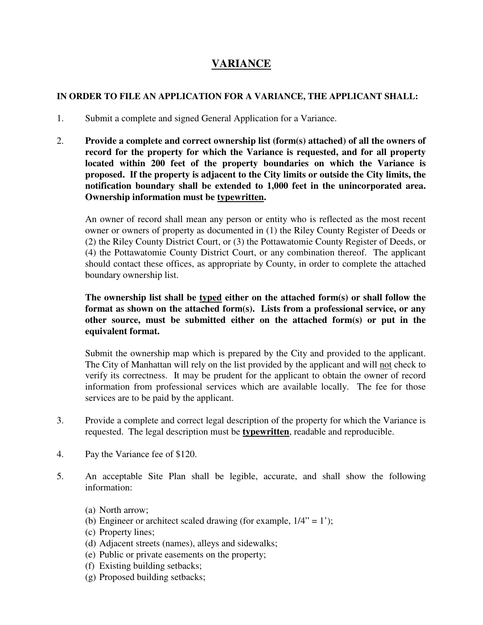## **VARIANCE**

## **IN ORDER TO FILE AN APPLICATION FOR A VARIANCE, THE APPLICANT SHALL:**

- 1. Submit a complete and signed General Application for a Variance.
- 2. **Provide a complete and correct ownership list (form(s) attached) of all the owners of record for the property for which the Variance is requested, and for all property located within 200 feet of the property boundaries on which the Variance is proposed. If the property is adjacent to the City limits or outside the City limits, the notification boundary shall be extended to 1,000 feet in the unincorporated area. Ownership information must be typewritten.**

An owner of record shall mean any person or entity who is reflected as the most recent owner or owners of property as documented in (1) the Riley County Register of Deeds or (2) the Riley County District Court, or (3) the Pottawatomie County Register of Deeds, or (4) the Pottawatomie County District Court, or any combination thereof. The applicant should contact these offices, as appropriate by County, in order to complete the attached boundary ownership list.

## **The ownership list shall be typed either on the attached form(s) or shall follow the format as shown on the attached form(s). Lists from a professional service, or any other source, must be submitted either on the attached form(s) or put in the equivalent format.**

Submit the ownership map which is prepared by the City and provided to the applicant. The City of Manhattan will rely on the list provided by the applicant and will not check to verify its correctness. It may be prudent for the applicant to obtain the owner of record information from professional services which are available locally. The fee for those services are to be paid by the applicant.

- 3. Provide a complete and correct legal description of the property for which the Variance is requested. The legal description must be **typewritten**, readable and reproducible.
- 4. Pay the Variance fee of \$120.
- 5. An acceptable Site Plan shall be legible, accurate, and shall show the following information:
	- (a) North arrow;
	- (b) Engineer or architect scaled drawing (for example,  $1/4$ " = 1');
	- (c) Property lines;
	- (d) Adjacent streets (names), alleys and sidewalks;
	- (e) Public or private easements on the property;
	- (f) Existing building setbacks;
	- (g) Proposed building setbacks;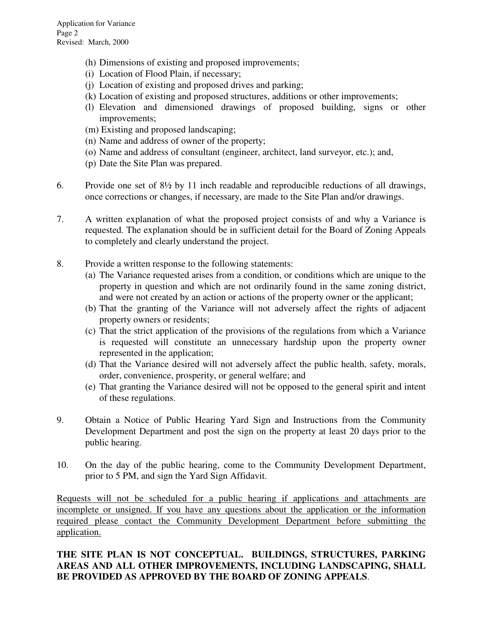- (h) Dimensions of existing and proposed improvements;
- (i) Location of Flood Plain, if necessary;
- (j) Location of existing and proposed drives and parking;
- (k) Location of existing and proposed structures, additions or other improvements;
- (l) Elevation and dimensioned drawings of proposed building, signs or other improvements;
- (m) Existing and proposed landscaping;
- (n) Name and address of owner of the property;
- (o) Name and address of consultant (engineer, architect, land surveyor, etc.); and,
- (p) Date the Site Plan was prepared.
- 6. Provide one set of 8½ by 11 inch readable and reproducible reductions of all drawings, once corrections or changes, if necessary, are made to the Site Plan and/or drawings.
- 7. A written explanation of what the proposed project consists of and why a Variance is requested. The explanation should be in sufficient detail for the Board of Zoning Appeals to completely and clearly understand the project.
- 8. Provide a written response to the following statements:
	- (a) The Variance requested arises from a condition, or conditions which are unique to the property in question and which are not ordinarily found in the same zoning district, and were not created by an action or actions of the property owner or the applicant;
	- (b) That the granting of the Variance will not adversely affect the rights of adjacent property owners or residents;
	- (c) That the strict application of the provisions of the regulations from which a Variance is requested will constitute an unnecessary hardship upon the property owner represented in the application;
	- (d) That the Variance desired will not adversely affect the public health, safety, morals, order, convenience, prosperity, or general welfare; and
	- (e) That granting the Variance desired will not be opposed to the general spirit and intent of these regulations.
- 9. Obtain a Notice of Public Hearing Yard Sign and Instructions from the Community Development Department and post the sign on the property at least 20 days prior to the public hearing.
- 10. On the day of the public hearing, come to the Community Development Department, prior to 5 PM, and sign the Yard Sign Affidavit.

Requests will not be scheduled for a public hearing if applications and attachments are incomplete or unsigned. If you have any questions about the application or the information required please contact the Community Development Department before submitting the application.

## **THE SITE PLAN IS NOT CONCEPTUAL. BUILDINGS, STRUCTURES, PARKING AREAS AND ALL OTHER IMPROVEMENTS, INCLUDING LANDSCAPING, SHALL BE PROVIDED AS APPROVED BY THE BOARD OF ZONING APPEALS**.